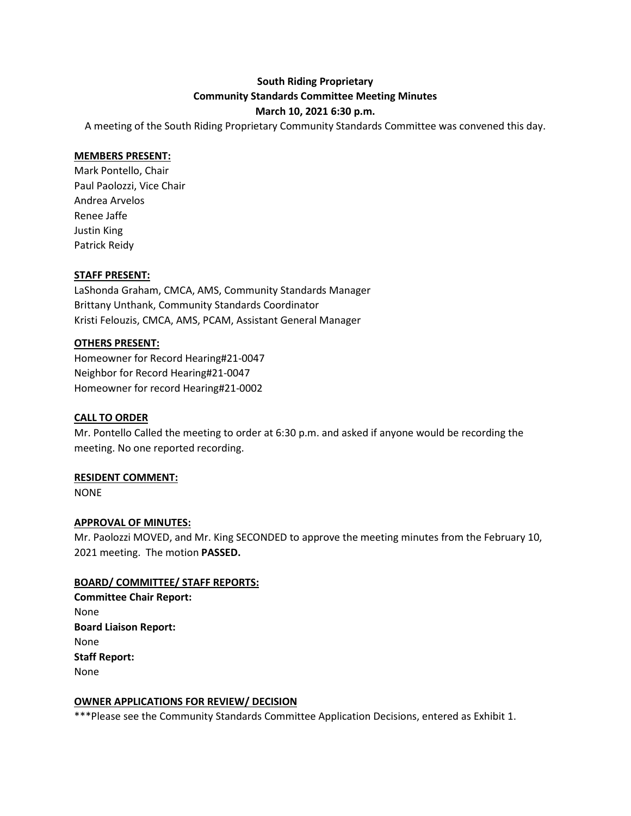### **South Riding Proprietary Community Standards Committee Meeting Minutes**

#### **March 10, 2021 6:30 p.m.**

A meeting of the South Riding Proprietary Community Standards Committee was convened this day.

#### **MEMBERS PRESENT:**

Mark Pontello, Chair Paul Paolozzi, Vice Chair Andrea Arvelos Renee Jaffe Justin King Patrick Reidy

#### **STAFF PRESENT:**

LaShonda Graham, CMCA, AMS, Community Standards Manager Brittany Unthank, Community Standards Coordinator Kristi Felouzis, CMCA, AMS, PCAM, Assistant General Manager

#### **OTHERS PRESENT:**

Homeowner for Record Hearing#21-0047 Neighbor for Record Hearing#21-0047 Homeowner for record Hearing#21-0002

#### **CALL TO ORDER**

Mr. Pontello Called the meeting to order at 6:30 p.m. and asked if anyone would be recording the meeting. No one reported recording.

#### **RESIDENT COMMENT:**

NONE

#### **APPROVAL OF MINUTES:**

Mr. Paolozzi MOVED, and Mr. King SECONDED to approve the meeting minutes from the February 10, 2021 meeting. The motion **PASSED.**

#### **BOARD/ COMMITTEE/ STAFF REPORTS:**

**Committee Chair Report:** None **Board Liaison Report:** None **Staff Report:** None

#### **OWNER APPLICATIONS FOR REVIEW/ DECISION**

\*\*\*Please see the Community Standards Committee Application Decisions, entered as Exhibit 1.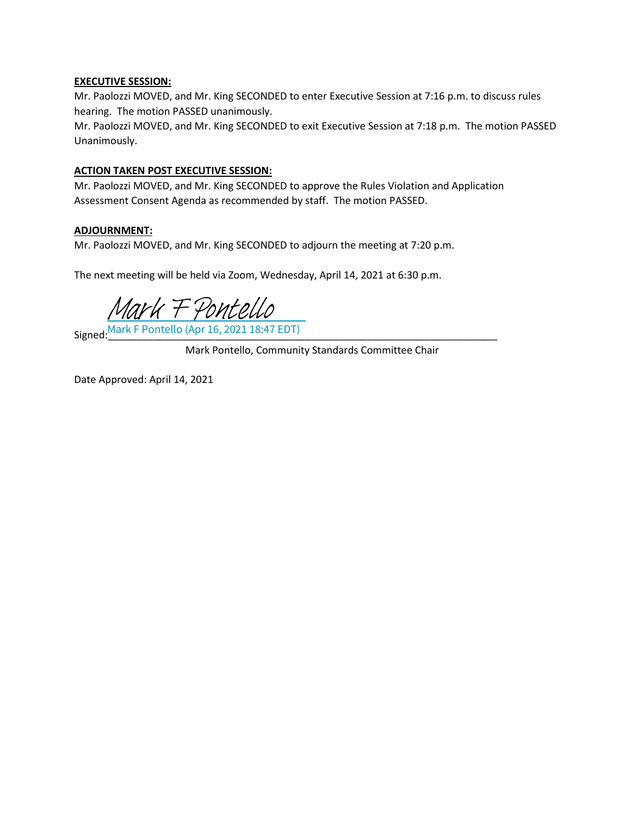#### **EXECUTIVE SESSION:**

Mr. Paolozzi MOVED, and Mr. King SECONDED to enter Executive Session at 7:16 p.m. to discuss rules hearing. The motion PASSED unanimously.

Mr. Paolozzi MOVED, and Mr. King SECONDED to exit Executive Session at 7:18 p.m. The motion PASSED Unanimously.

#### **ACTION TAKEN POST EXECUTIVE SESSION:**

Mr. Paolozzi MOVED, and Mr. King SECONDED to approve the Rules Violation and Application Assessment Consent Agenda as recommended by staff. The motion PASSED.

#### **ADJOURNMENT:**

Mr. Paolozzi MOVED, and Mr. King SECONDED to adjourn the meeting at 7:20 p.m.

The next meeting will be held via Zoom, Wednesday, April 14, 2021 at 6:30 p.m.

[Mark F Pontello](https://na2.documents.adobe.com/verifier?tx=CBJCHBCAABAArVTccN8Kr2A6OTJGd15QhsR_bOh6eJm8)

Signed:\_\_\_\_\_\_\_\_\_\_\_\_\_\_\_\_\_\_\_\_\_\_\_\_\_\_\_\_\_\_\_\_\_\_\_\_\_\_\_\_\_\_\_\_\_\_\_\_\_\_\_\_\_\_\_\_\_\_\_\_\_\_\_\_\_\_\_\_\_ Mark F Pontello (Apr 16, 2021 18:47 EDT)

Mark Pontello, Community Standards Committee Chair

Date Approved: April 14, 2021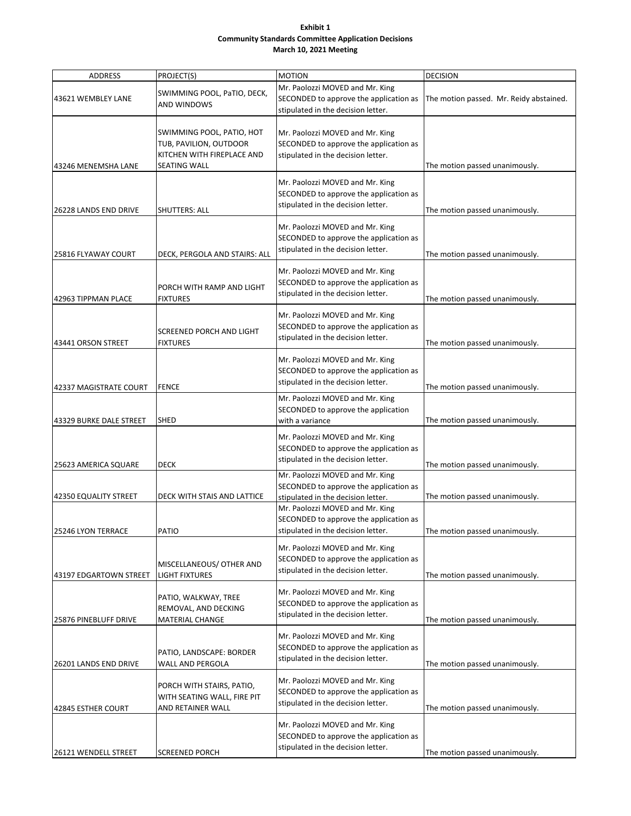#### **Exhibit 1 Community Standards Committee Application Decisions March 10, 2021 Meeting**

| ADDRESS                 | PROJECT(S)                                                                                        | <b>MOTION</b>                                                                                                                                      | <b>DECISION</b>                         |
|-------------------------|---------------------------------------------------------------------------------------------------|----------------------------------------------------------------------------------------------------------------------------------------------------|-----------------------------------------|
| 43621 WEMBLEY LANE      | SWIMMING POOL, PaTIO, DECK,<br><b>AND WINDOWS</b>                                                 | Mr. Paolozzi MOVED and Mr. King<br>SECONDED to approve the application as<br>stipulated in the decision letter.                                    | The motion passed. Mr. Reidy abstained. |
| 43246 MENEMSHA LANE     | SWIMMING POOL, PATIO, HOT<br>TUB, PAVILION, OUTDOOR<br>KITCHEN WITH FIREPLACE AND<br>SEATING WALL | Mr. Paolozzi MOVED and Mr. King<br>SECONDED to approve the application as<br>stipulated in the decision letter.                                    | The motion passed unanimously.          |
| 26228 LANDS END DRIVE   | SHUTTERS: ALL                                                                                     | Mr. Paolozzi MOVED and Mr. King<br>SECONDED to approve the application as<br>stipulated in the decision letter.                                    | The motion passed unanimously.          |
| 25816 FLYAWAY COURT     | DECK, PERGOLA AND STAIRS: ALL                                                                     | Mr. Paolozzi MOVED and Mr. King<br>SECONDED to approve the application as<br>stipulated in the decision letter.                                    | The motion passed unanimously.          |
| 42963 TIPPMAN PLACE     | PORCH WITH RAMP AND LIGHT<br><b>FIXTURES</b>                                                      | Mr. Paolozzi MOVED and Mr. King<br>SECONDED to approve the application as<br>stipulated in the decision letter.                                    | The motion passed unanimously.          |
| 43441 ORSON STREET      | SCREENED PORCH AND LIGHT<br><b>FIXTURES</b>                                                       | Mr. Paolozzi MOVED and Mr. King<br>SECONDED to approve the application as<br>stipulated in the decision letter.                                    | The motion passed unanimously.          |
| 42337 MAGISTRATE COURT  | <b>FENCE</b>                                                                                      | Mr. Paolozzi MOVED and Mr. King<br>SECONDED to approve the application as<br>stipulated in the decision letter.                                    | The motion passed unanimously.          |
| 43329 BURKE DALE STREET | <b>SHED</b>                                                                                       | Mr. Paolozzi MOVED and Mr. King<br>SECONDED to approve the application<br>with a variance                                                          | The motion passed unanimously.          |
| 25623 AMERICA SQUARE    | <b>DECK</b>                                                                                       | Mr. Paolozzi MOVED and Mr. King<br>SECONDED to approve the application as<br>stipulated in the decision letter.                                    | The motion passed unanimously.          |
| 42350 EQUALITY STREET   | DECK WITH STAIS AND LATTICE                                                                       | Mr. Paolozzi MOVED and Mr. King<br>SECONDED to approve the application as<br>stipulated in the decision letter.<br>Mr. Paolozzi MOVED and Mr. King | The motion passed unanimously.          |
| 25246 LYON TERRACE      | PATIO                                                                                             | SECONDED to approve the application as<br>stipulated in the decision letter.                                                                       | The motion passed unanimously.          |
| 43197 EDGARTOWN STREET  | MISCELLANEOUS/ OTHER AND<br><b>LIGHT FIXTURES</b>                                                 | Mr. Paolozzi MOVED and Mr. King<br>SECONDED to approve the application as<br>stipulated in the decision letter.                                    | The motion passed unanimously.          |
| 25876 PINEBLUFF DRIVE   | PATIO, WALKWAY, TREE<br>REMOVAL, AND DECKING<br>MATERIAL CHANGE                                   | Mr. Paolozzi MOVED and Mr. King<br>SECONDED to approve the application as<br>stipulated in the decision letter.                                    | The motion passed unanimously.          |
| 26201 LANDS END DRIVE   | PATIO, LANDSCAPE: BORDER<br>WALL AND PERGOLA                                                      | Mr. Paolozzi MOVED and Mr. King<br>SECONDED to approve the application as<br>stipulated in the decision letter.                                    | The motion passed unanimously.          |
| 42845 ESTHER COURT      | PORCH WITH STAIRS, PATIO,<br>WITH SEATING WALL, FIRE PIT<br>AND RETAINER WALL                     | Mr. Paolozzi MOVED and Mr. King<br>SECONDED to approve the application as<br>stipulated in the decision letter.                                    | The motion passed unanimously.          |
| 26121 WENDELL STREET    | <b>SCREENED PORCH</b>                                                                             | Mr. Paolozzi MOVED and Mr. King<br>SECONDED to approve the application as<br>stipulated in the decision letter.                                    | The motion passed unanimously.          |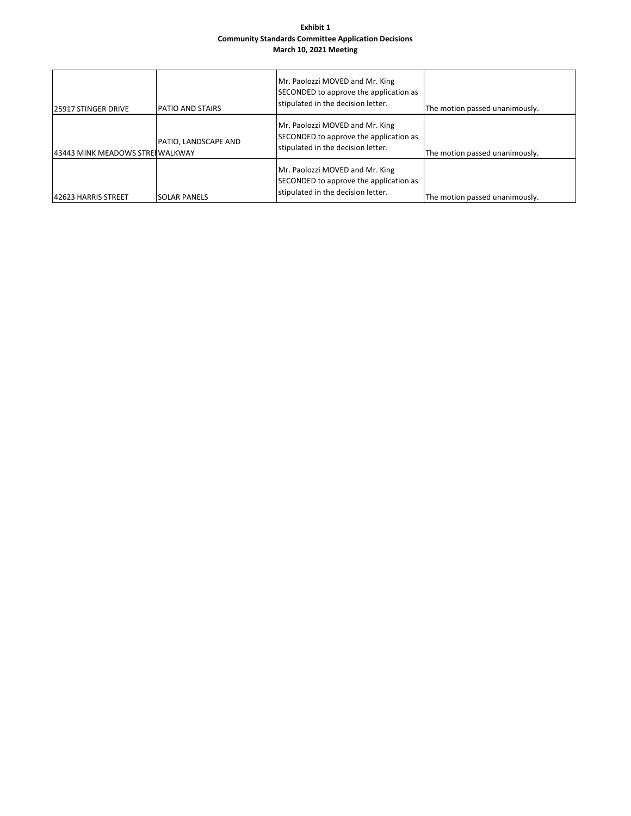#### **Exhibit 1 Community Standards Committee Application Decisions March 10, 2021 Meeting**

| <b>25917 STINGER DRIVE</b>       | <b>PATIO AND STAIRS</b> | Mr. Paolozzi MOVED and Mr. King<br>SECONDED to approve the application as<br>stipulated in the decision letter. | The motion passed unanimously. |
|----------------------------------|-------------------------|-----------------------------------------------------------------------------------------------------------------|--------------------------------|
| 43443 MINK MEADOWS STREI WALKWAY | PATIO, LANDSCAPE AND    | Mr. Paolozzi MOVED and Mr. King<br>SECONDED to approve the application as<br>stipulated in the decision letter. | The motion passed unanimously. |
| 142623 HARRIS STREET             | ISOLAR PANELS           | Mr. Paolozzi MOVED and Mr. King<br>SECONDED to approve the application as<br>stipulated in the decision letter. | The motion passed unanimously. |